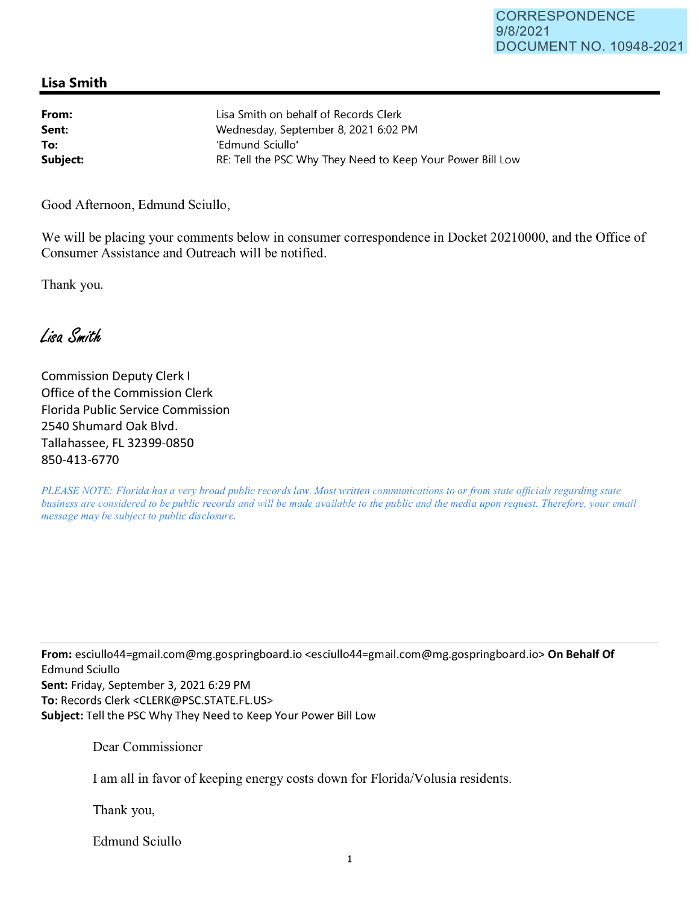## **Lisa Smith**

| From:    | Lisa Smith on behalf of Records Clerk                      |
|----------|------------------------------------------------------------|
| Sent:    | Wednesday, September 8, 2021 6:02 PM                       |
| To:      | 'Edmund Sciullo'                                           |
| Subject: | RE: Tell the PSC Why They Need to Keep Your Power Bill Low |

Good Afternoon, Edmund Sciullo,

We will be placing your comments below in consumer correspondence in Docket 20210000, and the Office of Consumer Assistance and Outreach will be notified.

Thank you.

Lisa Smith

Commission Deputy Clerk I Office of the Commission Clerk Florida Public Service Commission 2540 Shumard Oak Blvd. Tallahassee, FL 32399-0850 850-413-6770

*PLEASE NOTE: Florida has a very broad public records law. Most written communications to or from state officials regarding state business are considered to be public records and will be made available to the public and the media upon request. Therefore, your email message may be subject to public disclosure.* 

**From:** esciullo44=gmail.com@mg.gospringboard.io <esciullo44=gmai1.com@mg.gospringboard.io> **On Behalf Of**  Edmund Sciullo **Sent:** Friday, September 3, 2021 6:29 PM **To:** Records Clerk <CLERK@PSC.STATE.FL.US> **Subject:** Tell the PSC Why They Need to Keep Your Power Bill Low

Dear Commissioner

I am all in favor of keeping energy costs down for Florida/Volusia residents.

Thank you,

Edmund Sciullo